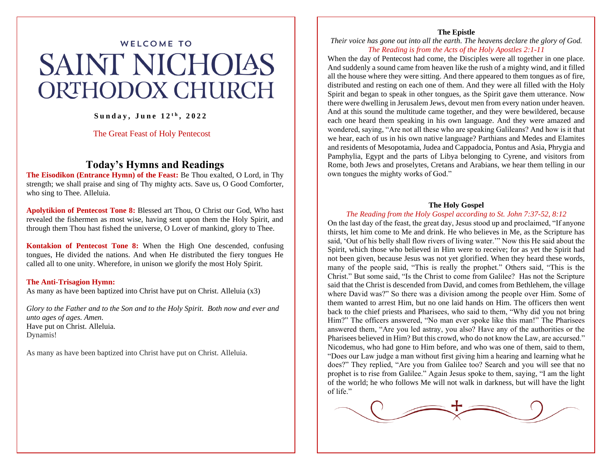# **WELCOME TO SAINT NICHOIAS ORTHODOX CHURCH**

### **S u n d a y , J u n e 1 2 t h , 2 0 2 2**

#### The Great Feast of Holy Pentecost

## **Today's Hymns and Readings**

**The Eisodikon (Entrance Hymn) of the Feast:** Be Thou exalted, O Lord, in Thy strength; we shall praise and sing of Thy mighty acts. Save us, O Good Comforter, who sing to Thee. Alleluia.

**Apolytikion of Pentecost Tone 8:** Blessed art Thou, O Christ our God, Who hast revealed the fishermen as most wise, having sent upon them the Holy Spirit, and through them Thou hast fished the universe, O Lover of mankind, glory to Thee.

**Kontakion of Pentecost Tone 8:** When the High One descended, confusing tongues, He divided the nations. And when He distributed the fiery tongues He called all to one unity. Wherefore, in unison we glorify the most Holy Spirit.

#### **The Anti-Trisagion Hymn:**

As many as have been baptized into Christ have put on Christ. Alleluia (x3)

*Glory to the Father and to the Son and to the Holy Spirit. Both now and ever and unto ages of ages. Amen.*  Have put on Christ. Alleluia. Dynamis!

As many as have been baptized into Christ have put on Christ. Alleluia.

#### **The Epistle**

*Their voice has gone out into all the earth. The heavens declare the glory of God. The Reading is from the Acts of the Holy Apostles 2:1-11*

When the day of Pentecost had come, the Disciples were all together in one place. And suddenly a sound came from heaven like the rush of a mighty wind, and it filled all the house where they were sitting. And there appeared to them tongues as of fire, distributed and resting on each one of them. And they were all filled with the Holy Spirit and began to speak in other tongues, as the Spirit gave them utterance. Now there were dwelling in Jerusalem Jews, devout men from every nation under heaven. And at this sound the multitude came together, and they were bewildered, because each one heard them speaking in his own language. And they were amazed and wondered, saying, "Are not all these who are speaking Galileans? And how is it that we hear, each of us in his own native language? Parthians and Medes and Elamites and residents of Mesopotamia, Judea and Cappadocia, Pontus and Asia, Phrygia and Pamphylia, Egypt and the parts of Libya belonging to Cyrene, and visitors from Rome, both Jews and proselytes, Cretans and Arabians, we hear them telling in our own tongues the mighty works of God."

#### **The Holy Gospel**

#### *The Reading from the Holy Gospel according to St. John 7:37-52, 8:12*

On the last day of the feast, the great day, Jesus stood up and proclaimed, "If anyone thirsts, let him come to Me and drink. He who believes in Me, as the Scripture has said, 'Out of his belly shall flow rivers of living water.'" Now this He said about the Spirit, which those who believed in Him were to receive; for as yet the Spirit had not been given, because Jesus was not yet glorified. When they heard these words, many of the people said, "This is really the prophet." Others said, "This is the Christ." But some said, "Is the Christ to come from Galilee? Has not the Scripture said that the Christ is descended from David, and comes from Bethlehem, the village where David was?" So there was a division among the people over Him. Some of them wanted to arrest Him, but no one laid hands on Him. The officers then went back to the chief priests and Pharisees, who said to them, "Why did you not bring Him?" The officers answered, "No man ever spoke like this man!" The Pharisees answered them, "Are you led astray, you also? Have any of the authorities or the Pharisees believed in Him? But this crowd, who do not know the Law, are accursed." Nicodemus, who had gone to Him before, and who was one of them, said to them, "Does our Law judge a man without first giving him a hearing and learning what he does?" They replied, "Are you from Galilee too? Search and you will see that no prophet is to rise from Galilee." Again Jesus spoke to them, saying, "I am the light of the world; he who follows Me will not walk in darkness, but will have the light of life."